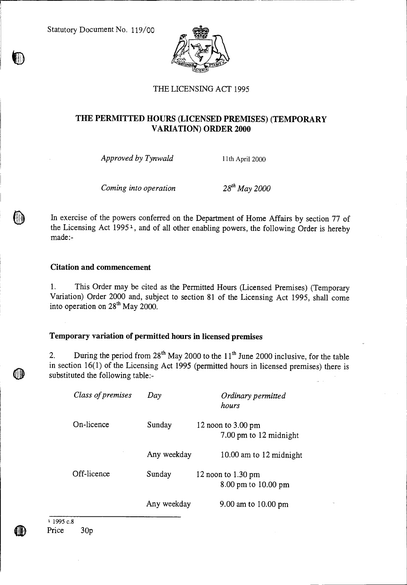Statutory Document No. 119/00



### THE LICENSING ACT 1995

# **THE PERMITTED HOURS (LICENSED PREMISES) (TEMPORARY VARIATION) ORDER 2000**

*Approved by Tynwald* 11th April 2000

*Coming into operation* 28<sup>th</sup> May 2000

In exercise of the powers conferred on the Department of Home Affairs by section 77 of the Licensing Act 1995<sup>1</sup>, and of all other enabling powers, the following Order is hereby made:-

#### **Citation and commencement**

1. This Order may be cited as the Permitted Hours (Licensed Premises) (Temporary Variation) Order 2000 and, subject to section 81 of the Licensing Act 1995, shall come into operation on  $28<sup>th</sup>$  May 2000.

### **Temporary variation of permitted hours in licensed premises**

2. During the period from  $28<sup>th</sup>$  May 2000 to the  $11<sup>th</sup>$  June 2000 inclusive, for the table in section 16(1) of the Licensing Act 1995 (permitted hours in licensed premises) there is substituted the following table:-

| Class of premises | Day         | Ordinary permitted<br>hours                            |
|-------------------|-------------|--------------------------------------------------------|
| On-licence        | Sunday      | 12 noon to $3.00 \text{ pm}$<br>7.00 pm to 12 midnight |
|                   | Any weekday | 10.00 am to 12 midnight                                |
| Off-licence       | Sunday      | 12 noon to $1.30 \text{ pm}$<br>8.00 pm to 10.00 pm    |
|                   | Any weekday | 9.00 am to 10.00 pm                                    |

<sup>1</sup> 1995 c.8 Price 30p